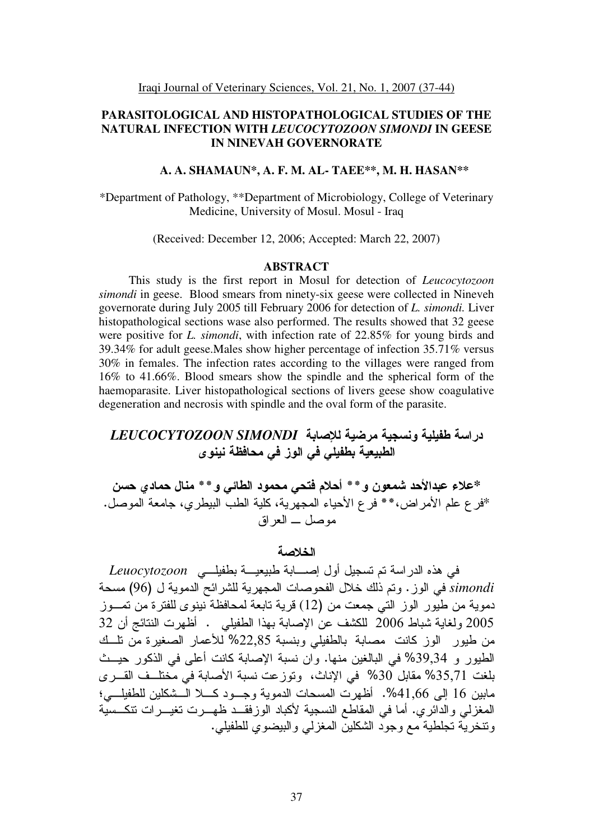# **PARASITOLOGICAL AND HISTOPATHOLOGICAL STUDIES OF THE NATURAL INFECTION WITH** *LEUCOCYTOZOON SIMONDI* **IN GEESE IN NINEVAH GOVERNORATE**

#### **A. A. SHAMAUN\*, A. F. M. AL- TAEE\*\*, M. H. HASAN\*\***

\*Department of Pathology, \*\*Department of Microbiology, College of Veterinary Medicine, University of Mosul. Mosul - Iraq

(Received: December 12, 2006; Accepted: March 22, 2007)

#### **ABSTRACT**

This study is the first report in Mosul for detection of *Leucocytozoon simondi* in geese.Blood smears from ninety-six geese were collected in Nineveh governorate during July 2005 till February 2006 for detection of *L. simondi.* Liver histopathological sections wase also performed. The results showed that 32 geese were positive for *L. simondi*, with infection rate of 22.85% for young birds and 39.34% for adult geese.Males show higher percentage of infection 35.71% versus 30% in females. The infection rates according to the villages were ranged from 16% to 41.66%. Blood smears show the spindle and the spherical form of the haemoparasite. Liver histopathological sections of livers geese show coagulative degeneration and necrosis with spindle and the oval form of the parasite.

# دراسة طفيلية ونسجية مرضية للإصابة *LEUCOCYTOZOON SIMONDI* الطبيعية بطفيلي في الوز في محافظة نينو ى

\*علاء عبدالأحد شمعون و \* \* أحلام فتحي محمود الطائي و \* \* منال حما*دي* حسن \*فر ع علم الأمراض،\*\* فر ع الأحياء المجهرية، كلية الطب البيطري، جامعة الموصل. موصل \_ العر اق

# الخلاصة

في هذه الدراسة تم تسجيل أول إصــــابة طبيعيـــة بطفيلـــي *Leuocytozoon* simondi في الوز . وتم ذلك خلال الفحوصات المجهرية للشرائح الدموية ل (96) مسحة دمو بة من طبور الوز التي جمعت من (12) قر بة تابعة لمحافظة ببنو ي للفتر ة من تمـــوز 2005 ولغاية شباط 2006 للكشف عن الإصابة بهذا الطفيلي . أظهرت النتائج أن 32 من طيور الوز كانت مصابة بالطفيلي وبنسبة 22٫85% للأعمار الصغيرة من نلــك الطيور و 39٫34% في البالغين منها. وان نسبة الإصابة كانت أعلى في الذكور حيــث بلغت 35٫71% مقابل 30% في الإناث، ونوزعت نسبة الأصابة في مختلــف القـــرى مابين 16 إلى 41,66%. أظهر ت المسحات الدموية وجــود كـــلا الـــشكلين للطفيلـــي؛ المغزلي والدائري. أما في المقاطع النسجية لأكباد الوزَّفقــدُّ ظهـــرت نغيـــرات نتكـــسيّة و نتخر بـه تجلطية مـع و جو د الشكلين المغز لـى و البيضو ي للطفيلي .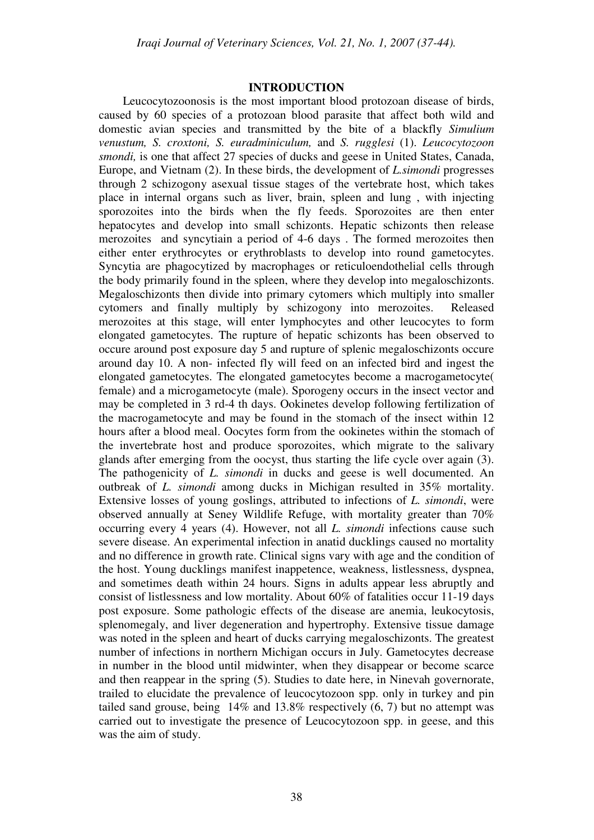#### **INTRODUCTION**

 Leucocytozoonosis is the most important blood protozoan disease of birds, caused by 60 species of a protozoan blood parasite that affect both wild and domestic avian species and transmitted by the bite of a blackfly *Simulium venustum, S. croxtoni, S. euradminiculum,* and *S. rugglesi* (1). *Leucocytozoon smondi,* is one that affect 27 species of ducks and geese in United States, Canada, Europe, and Vietnam (2). In these birds, the development of *L.simondi* progresses through 2 schizogony asexual tissue stages of the vertebrate host, which takes place in internal organs such as liver, brain, spleen and lung , with injecting sporozoites into the birds when the fly feeds. Sporozoites are then enter hepatocytes and develop into small schizonts. Hepatic schizonts then release merozoites and syncytiain a period of 4-6 days . The formed merozoites then either enter erythrocytes or erythroblasts to develop into round gametocytes. Syncytia are phagocytized by macrophages or reticuloendothelial cells through the body primarily found in the spleen, where they develop into megaloschizonts. Megaloschizonts then divide into primary cytomers which multiply into smaller cytomers and finally multiply by schizogony into merozoites. Released merozoites at this stage, will enter lymphocytes and other leucocytes to form elongated gametocytes. The rupture of hepatic schizonts has been observed to occure around post exposure day 5 and rupture of splenic megaloschizonts occure around day 10. A non- infected fly will feed on an infected bird and ingest the elongated gametocytes. The elongated gametocytes become a macrogametocyte( female) and a microgametocyte (male). Sporogeny occurs in the insect vector and may be completed in 3 rd-4 th days. Ookinetes develop following fertilization of the macrogametocyte and may be found in the stomach of the insect within 12 hours after a blood meal. Oocytes form from the ookinetes within the stomach of the invertebrate host and produce sporozoites, which migrate to the salivary glands after emerging from the oocyst, thus starting the life cycle over again (3). The pathogenicity of *L. simondi* in ducks and geese is well documented. An outbreak of *L. simondi* among ducks in Michigan resulted in 35% mortality. Extensive losses of young goslings, attributed to infections of *L. simondi*, were observed annually at Seney Wildlife Refuge, with mortality greater than 70% occurring every 4 years (4). However, not all *L. simondi* infections cause such severe disease. An experimental infection in anatid ducklings caused no mortality and no difference in growth rate. Clinical signs vary with age and the condition of the host. Young ducklings manifest inappetence, weakness, listlessness, dyspnea, and sometimes death within 24 hours. Signs in adults appear less abruptly and consist of listlessness and low mortality. About 60% of fatalities occur 11-19 days post exposure. Some pathologic effects of the disease are anemia, leukocytosis, splenomegaly, and liver degeneration and hypertrophy. Extensive tissue damage was noted in the spleen and heart of ducks carrying megaloschizonts. The greatest number of infections in northern Michigan occurs in July. Gametocytes decrease in number in the blood until midwinter, when they disappear or become scarce and then reappear in the spring (5). Studies to date here, in Ninevah governorate, trailed to elucidate the prevalence of leucocytozoon spp. only in turkey and pin tailed sand grouse, being 14% and 13.8% respectively (6, 7) but no attempt was carried out to investigate the presence of Leucocytozoon spp. in geese, and this was the aim of study.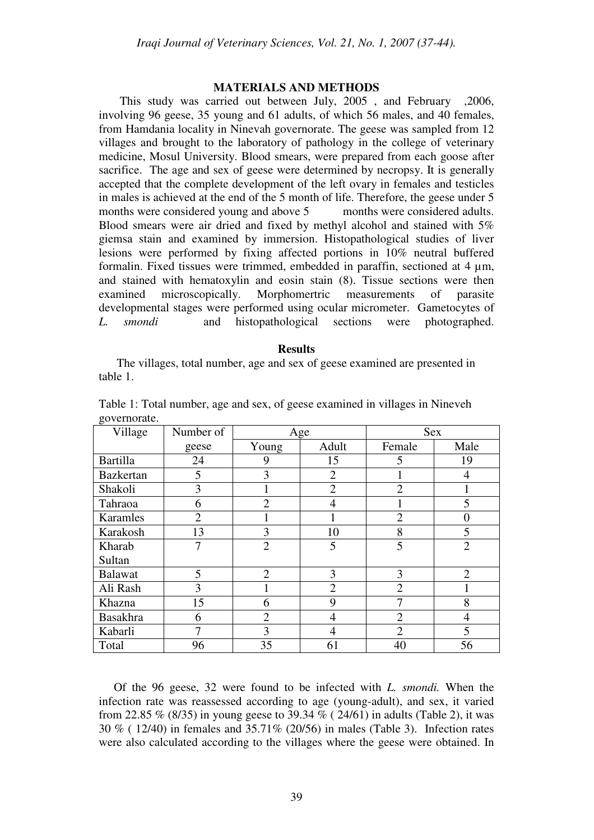#### **MATERIALS AND METHODS**

 This study was carried out between July, 2005 , and February ,2006, involving 96 geese, 35 young and 61 adults, of which 56 males, and 40 females, from Hamdania locality in Ninevah governorate. The geese was sampled from 12 villages and brought to the laboratory of pathology in the college of veterinary medicine, Mosul University. Blood smears, were prepared from each goose after sacrifice. The age and sex of geese were determined by necropsy. It is generally accepted that the complete development of the left ovary in females and testicles in males is achieved at the end of the 5 month of life. Therefore, the geese under 5 months were considered young and above 5 months were considered adults. Blood smears were air dried and fixed by methyl alcohol and stained with 5% giemsa stain and examined by immersion. Histopathological studies of liver lesions were performed by fixing affected portions in 10% neutral buffered formalin. Fixed tissues were trimmed, embedded in paraffin, sectioned at 4 µm, and stained with hematoxylin and eosin stain (8). Tissue sections were then examined microscopically. Morphomertric measurements of parasite developmental stages were performed using ocular micrometer. Gametocytes of *L. smondi* and histopathological sections were photographed.

#### **Results**

 The villages, total number, age and sex of geese examined are presented in table 1.

| Village          | Number of      | Age            |                | <b>Sex</b>     |                |
|------------------|----------------|----------------|----------------|----------------|----------------|
|                  | geese          | Young          | Adult          | Female         | Male           |
| <b>Bartilla</b>  | 24             | 9              | 15             | 5              | 19             |
| <b>Bazkertan</b> | 5              | 3              | $\overline{2}$ |                | 4              |
| Shakoli          | 3              |                | $\overline{2}$ | $\overline{2}$ |                |
| Tahraoa          | 6              | $\overline{2}$ | $\overline{4}$ |                | 5              |
| Karamles         | $\overline{2}$ |                |                | $\overline{2}$ | $\theta$       |
| Karakosh         | 13             | 3              | 10             | 8              | 5              |
| Kharab           | 7              | $\overline{2}$ | 5              | 5              | $\overline{2}$ |
| Sultan           |                |                |                |                |                |
| Balawat          | 5              | $\overline{2}$ | 3              | 3              | $\overline{2}$ |
| Ali Rash         | 3              |                | $\overline{2}$ | $\overline{2}$ |                |
| Khazna           | 15             | 6              | 9              | 7              | 8              |
| <b>Basakhra</b>  | 6              | $\overline{2}$ | $\overline{4}$ | $\overline{2}$ | $\overline{4}$ |
| Kabarli          |                | 3              | $\overline{4}$ | $\overline{2}$ | 5              |
| Total            | 96             | 35             | 61             | 40             | 56             |

Table 1: Total number, age and sex, of geese examined in villages in Nineveh governorate.

 Of the 96 geese, 32 were found to be infected with *L. smondi.* When the infection rate was reassessed according to age (young-adult), and sex, it varied from 22.85 % (8/35) in young geese to 39.34 % ( 24/61) in adults (Table 2), it was 30 % ( 12/40) in females and 35.71% (20/56) in males (Table 3). Infection rates were also calculated according to the villages where the geese were obtained. In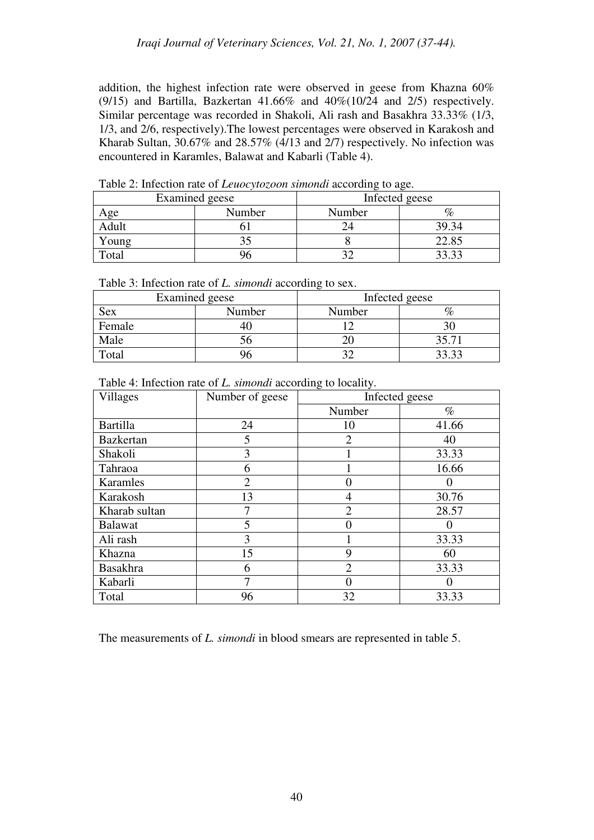addition, the highest infection rate were observed in geese from Khazna 60% (9/15) and Bartilla, Bazkertan 41.66% and  $40\%(10/24$  and  $2/5$ ) respectively. Similar percentage was recorded in Shakoli, Ali rash and Basakhra 33.33% (1/3, 1/3, and 2/6, respectively).The lowest percentages were observed in Karakosh and Kharab Sultan, 30.67% and 28.57% (4/13 and 2/7) respectively. No infection was encountered in Karamles, Balawat and Kabarli (Table 4).

|       | Examined geese | Infected geese |       |  |
|-------|----------------|----------------|-------|--|
| Age   | Number         | Number         |       |  |
| Adult |                |                | 39.34 |  |
| Young |                |                | 22.85 |  |
| Total |                |                | 33.33 |  |

Table 2: Infection rate of *Leuocytozoon simondi* according to age.

| Table 3: Infection rate of <i>L. simondi</i> according to sex. |  |  |
|----------------------------------------------------------------|--|--|
|----------------------------------------------------------------|--|--|

|               | <b>Examined</b> geese | ັ<br>Infected geese |       |  |
|---------------|-----------------------|---------------------|-------|--|
| Number<br>Sex |                       | Number              |       |  |
| Female        | +\.                   |                     |       |  |
| Male          | эc                    |                     | 35.71 |  |
| Total         |                       |                     |       |  |

| Table 4: Infection rate of <i>L. simondi</i> according to locality. |  |  |  |
|---------------------------------------------------------------------|--|--|--|
|---------------------------------------------------------------------|--|--|--|

| <b>Villages</b>  | Number of geese | Infected geese |       |
|------------------|-----------------|----------------|-------|
|                  |                 | Number         | $\%$  |
| <b>Bartilla</b>  | 24              | 10             | 41.66 |
| <b>Bazkertan</b> | 5               | $\overline{2}$ | 40    |
| Shakoli          | 3               |                | 33.33 |
| Tahraoa          | 6               |                | 16.66 |
| Karamles         | $\overline{2}$  |                |       |
| Karakosh         | 13              | 4              | 30.76 |
| Kharab sultan    |                 | $\overline{2}$ | 28.57 |
| <b>Balawat</b>   | 5               |                |       |
| Ali rash         | 3               |                | 33.33 |
| Khazna           | 15              | 9              | 60    |
| <b>Basakhra</b>  | 6               | $\overline{2}$ | 33.33 |
| Kabarli          | 7               |                |       |
| Total            | 96              | 32             | 33.33 |

The measurements of *L. simondi* in blood smears are represented in table 5.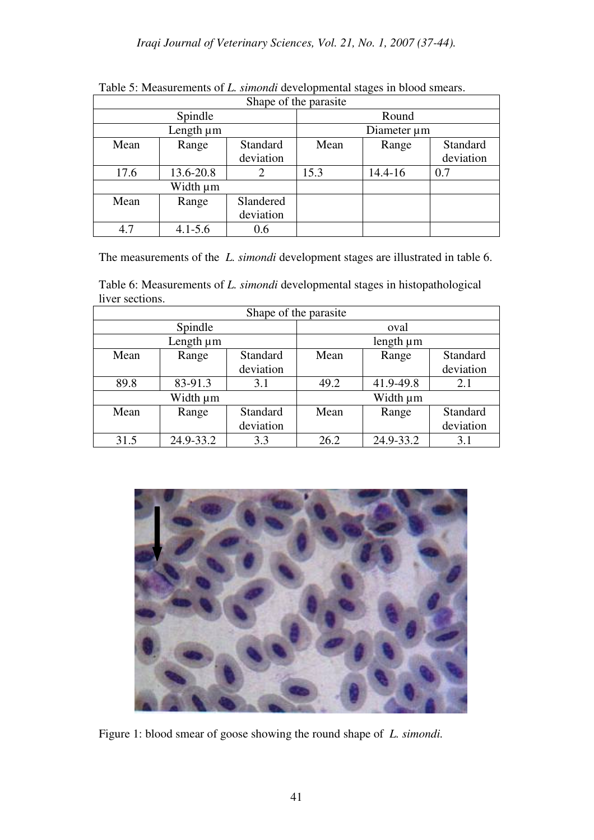| Shape of the parasite |             |                 |             |             |           |  |  |
|-----------------------|-------------|-----------------|-------------|-------------|-----------|--|--|
| Spindle               |             |                 | Round       |             |           |  |  |
| Length µm             |             |                 | Diameter µm |             |           |  |  |
| Mean                  | Range       | <b>Standard</b> | Mean        | Range       | Standard  |  |  |
|                       |             | deviation       |             |             | deviation |  |  |
| 17.6                  | 13.6-20.8   | 2               | 15.3        | $14.4 - 16$ | 0.7       |  |  |
| Width µm              |             |                 |             |             |           |  |  |
| Mean                  | Range       | Slandered       |             |             |           |  |  |
|                       |             | deviation       |             |             |           |  |  |
| 4.7                   | $4.1 - 5.6$ | 0.6             |             |             |           |  |  |

Table 5: Measurements of *L. simondi* developmental stages in blood smears.

The measurements of the *L. simondi* development stages are illustrated in table 6.

Table 6: Measurements of *L. simondi* developmental stages in histopathological liver sections.

| Shape of the parasite |           |           |                |           |           |  |
|-----------------------|-----------|-----------|----------------|-----------|-----------|--|
| Spindle               |           |           | oval           |           |           |  |
| Length µm             |           |           | length $\mu$ m |           |           |  |
| Mean                  | Range     | Standard  | Mean           | Range     | Standard  |  |
|                       |           | deviation |                |           | deviation |  |
| 89.8                  | 83-91.3   | 3.1       | 49.2           | 41.9-49.8 | 2.1       |  |
| Width µm              |           |           |                | Width µm  |           |  |
| Mean                  | Range     | Standard  | Mean           | Range     | Standard  |  |
|                       |           | deviation |                |           | deviation |  |
| 31.5                  | 24.9-33.2 | 3.3       | 26.2           | 24.9-33.2 | 3.1       |  |



Figure 1: blood smear of goose showing the round shape of *L. simondi.*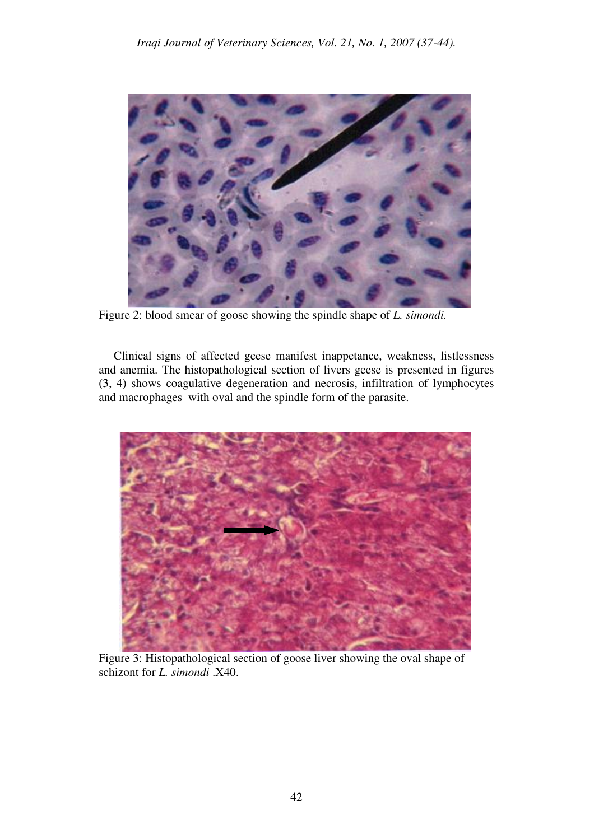

Figure 2: blood smear of goose showing the spindle shape of *L. simondi.* 

 Clinical signs of affected geese manifest inappetance, weakness, listlessness and anemia. The histopathological section of livers geese is presented in figures (3, 4) shows coagulative degeneration and necrosis, infiltration of lymphocytes and macrophages with oval and the spindle form of the parasite.



 Figure 3: Histopathological section of goose liver showing the oval shape of schizont for *L. simondi* .X40.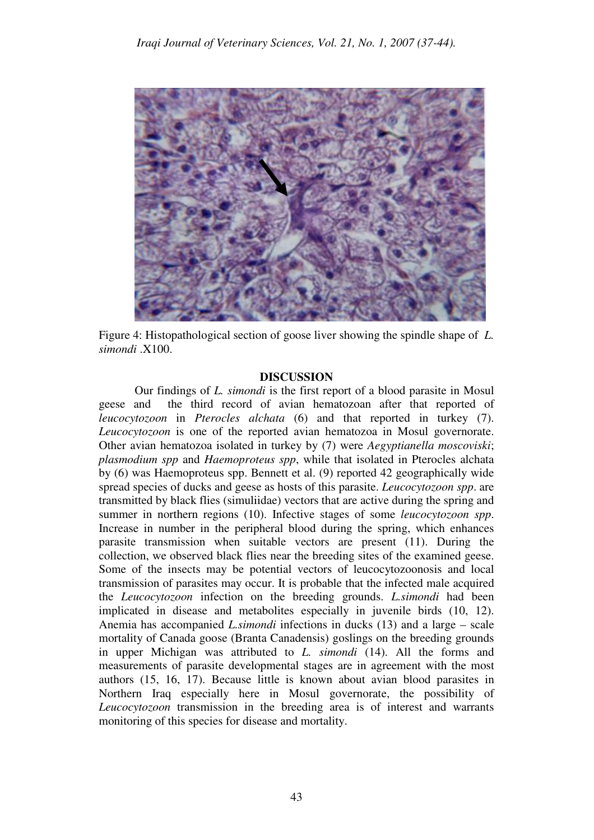

Figure 4: Histopathological section of goose liver showing the spindle shape of *L. simondi* .X100.

## **DISCUSSION**

Our findings of *L. simondi* is the first report of a blood parasite in Mosul geese and the third record of avian hematozoan after that reported of *leucocytozoon* in *Pterocles alchata* (6) and that reported in turkey (7). *Leucocytozoon* is one of the reported avian hematozoa in Mosul governorate. Other avian hematozoa isolated in turkey by (7) were *Aegyptianella moscoviski*; *plasmodium spp* and *Haemoproteus spp*, while that isolated in Pterocles alchata by (6) was Haemoproteus spp. Bennett et al. (9) reported 42 geographically wide spread species of ducks and geese as hosts of this parasite. *Leucocytozoon spp*. are transmitted by black flies (simuliidae) vectors that are active during the spring and summer in northern regions (10). Infective stages of some *leucocytozoon spp*. Increase in number in the peripheral blood during the spring, which enhances parasite transmission when suitable vectors are present (11). During the collection, we observed black flies near the breeding sites of the examined geese. Some of the insects may be potential vectors of leucocytozoonosis and local transmission of parasites may occur. It is probable that the infected male acquired the *Leucocytozoon* infection on the breeding grounds. *L.simondi* had been implicated in disease and metabolites especially in juvenile birds (10, 12). Anemia has accompanied *L.simondi* infections in ducks (13) and a large – scale mortality of Canada goose (Branta Canadensis) goslings on the breeding grounds in upper Michigan was attributed to *L. simondi* (14). All the forms and measurements of parasite developmental stages are in agreement with the most authors (15, 16, 17). Because little is known about avian blood parasites in Northern Iraq especially here in Mosul governorate, the possibility of *Leucocytozoon* transmission in the breeding area is of interest and warrants monitoring of this species for disease and mortality.